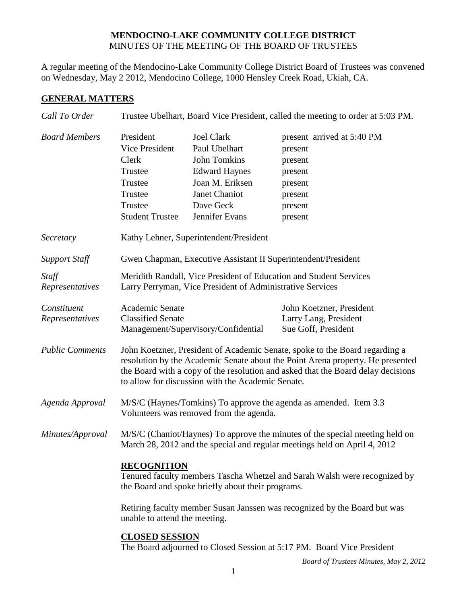## **MENDOCINO-LAKE COMMUNITY COLLEGE DISTRICT** MINUTES OF THE MEETING OF THE BOARD OF TRUSTEES

A regular meeting of the Mendocino-Lake Community College District Board of Trustees was convened on Wednesday, May 2 2012, Mendocino College, 1000 Hensley Creek Road, Ukiah, CA.

## **GENERAL MATTERS**

| Call To Order                  |                                                                                                                                                                                                                                                                                                        |                                                                                                                                                             | Trustee Ubelhart, Board Vice President, called the meeting to order at 5:03 PM.                                                                           |  |
|--------------------------------|--------------------------------------------------------------------------------------------------------------------------------------------------------------------------------------------------------------------------------------------------------------------------------------------------------|-------------------------------------------------------------------------------------------------------------------------------------------------------------|-----------------------------------------------------------------------------------------------------------------------------------------------------------|--|
| <b>Board Members</b>           | President<br>Vice President<br>Clerk<br>Trustee<br>Trustee<br>Trustee<br>Trustee<br><b>Student Trustee</b>                                                                                                                                                                                             | <b>Joel Clark</b><br>Paul Ubelhart<br><b>John Tomkins</b><br><b>Edward Haynes</b><br>Joan M. Eriksen<br><b>Janet Chaniot</b><br>Dave Geck<br>Jennifer Evans | present arrived at 5:40 PM<br>present<br>present<br>present<br>present<br>present<br>present<br>present                                                   |  |
| Secretary                      |                                                                                                                                                                                                                                                                                                        | Kathy Lehner, Superintendent/President                                                                                                                      |                                                                                                                                                           |  |
| <b>Support Staff</b>           |                                                                                                                                                                                                                                                                                                        | Gwen Chapman, Executive Assistant II Superintendent/President                                                                                               |                                                                                                                                                           |  |
| Staff<br>Representatives       |                                                                                                                                                                                                                                                                                                        | Larry Perryman, Vice President of Administrative Services                                                                                                   | Meridith Randall, Vice President of Education and Student Services                                                                                        |  |
| Constituent<br>Representatives | Academic Senate<br><b>Classified Senate</b>                                                                                                                                                                                                                                                            | Management/Supervisory/Confidential                                                                                                                         | John Koetzner, President<br>Larry Lang, President<br>Sue Goff, President                                                                                  |  |
| <b>Public Comments</b>         | John Koetzner, President of Academic Senate, spoke to the Board regarding a<br>resolution by the Academic Senate about the Point Arena property. He presented<br>the Board with a copy of the resolution and asked that the Board delay decisions<br>to allow for discussion with the Academic Senate. |                                                                                                                                                             |                                                                                                                                                           |  |
| Agenda Approval                |                                                                                                                                                                                                                                                                                                        | Volunteers was removed from the agenda.                                                                                                                     | M/S/C (Haynes/Tomkins) To approve the agenda as amended. Item 3.3                                                                                         |  |
| Minutes/Approval               |                                                                                                                                                                                                                                                                                                        |                                                                                                                                                             | M/S/C (Chaniot/Haynes) To approve the minutes of the special meeting held on<br>March 28, 2012 and the special and regular meetings held on April 4, 2012 |  |
|                                | <b>RECOGNITION</b><br>Tenured faculty members Tascha Whetzel and Sarah Walsh were recognized by<br>the Board and spoke briefly about their programs.                                                                                                                                                   |                                                                                                                                                             |                                                                                                                                                           |  |
|                                | Retiring faculty member Susan Janssen was recognized by the Board but was<br>unable to attend the meeting.                                                                                                                                                                                             |                                                                                                                                                             |                                                                                                                                                           |  |
|                                | <b>CLOSED SESSION</b>                                                                                                                                                                                                                                                                                  |                                                                                                                                                             | The Board adjourned to Closed Session at 5:17 PM. Board Vice President                                                                                    |  |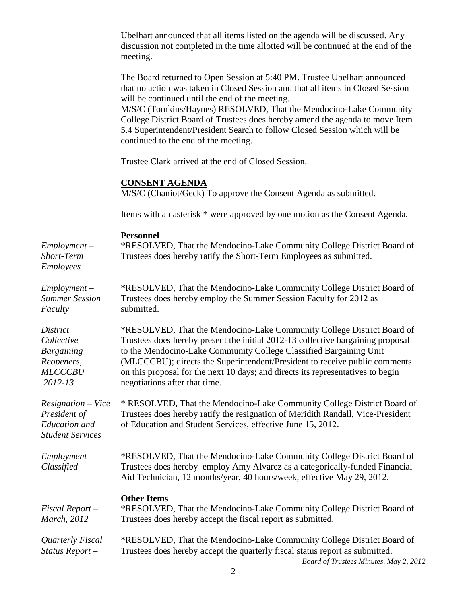Ubelhart announced that all items listed on the agenda will be discussed. Any discussion not completed in the time allotted will be continued at the end of the meeting. The Board returned to Open Session at 5:40 PM. Trustee Ubelhart announced that no action was taken in Closed Session and that all items in Closed Session will be continued until the end of the meeting. M/S/C (Tomkins/Haynes) RESOLVED, That the Mendocino-Lake Community College District Board of Trustees does hereby amend the agenda to move Item 5.4 Superintendent/President Search to follow Closed Session which will be continued to the end of the meeting. Trustee Clark arrived at the end of Closed Session. **CONSENT AGENDA** M/S/C (Chaniot/Geck) To approve the Consent Agenda as submitted. Items with an asterisk \* were approved by one motion as the Consent Agenda. **Personnel** *Employment – Short-Term Employees* \*RESOLVED, That the Mendocino-Lake Community College District Board of Trustees does hereby ratify the Short-Term Employees as submitted. *Employment – Summer Session Faculty* \*RESOLVED, That the Mendocino-Lake Community College District Board of Trustees does hereby employ the Summer Session Faculty for 2012 as submitted. *District Collective Bargaining Reopeners, MLCCCBU 2012-13* \*RESOLVED, That the Mendocino-Lake Community College District Board of Trustees does hereby present the initial 2012-13 collective bargaining proposal to the Mendocino-Lake Community College Classified Bargaining Unit (MLCCCBU); directs the Superintendent/President to receive public comments on this proposal for the next 10 days; and directs its representatives to begin negotiations after that time. *Resignation – Vice President of Education and Student Services*  \* RESOLVED, That the Mendocino-Lake Community College District Board of Trustees does hereby ratify the resignation of Meridith Randall, Vice-President of Education and Student Services, effective June 15, 2012. *Employment – Classified* \*RESOLVED, That the Mendocino-Lake Community College District Board of Trustees does hereby employ Amy Alvarez as a categorically-funded Financial

## **Other Items**

| Fiscal Report-      | *RESOLVED, That the Mendocino-Lake Community College District Board of |
|---------------------|------------------------------------------------------------------------|
| <i>March</i> , 2012 | Trustees does hereby accept the fiscal report as submitted.            |
|                     |                                                                        |

Aid Technician, 12 months/year, 40 hours/week, effective May 29, 2012.

*Board of Trustees Minutes, May 2, 2012 Quarterly Fiscal Status Report –* \*RESOLVED, That the Mendocino-Lake Community College District Board of Trustees does hereby accept the quarterly fiscal status report as submitted.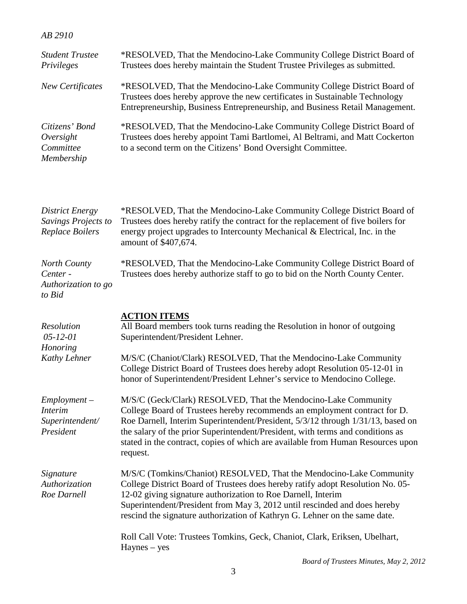## *AB 2910*

| <b>Student Trustee</b><br>Privileges                             | *RESOLVED, That the Mendocino-Lake Community College District Board of<br>Trustees does hereby maintain the Student Trustee Privileges as submitted.                                                                                                                                                                                                                                                            |
|------------------------------------------------------------------|-----------------------------------------------------------------------------------------------------------------------------------------------------------------------------------------------------------------------------------------------------------------------------------------------------------------------------------------------------------------------------------------------------------------|
| <b>New Certificates</b>                                          | *RESOLVED, That the Mendocino-Lake Community College District Board of<br>Trustees does hereby approve the new certificates in Sustainable Technology<br>Entrepreneurship, Business Entrepreneurship, and Business Retail Management.                                                                                                                                                                           |
| Citizens' Bond<br>Oversight<br>Committee<br>Membership           | *RESOLVED, That the Mendocino-Lake Community College District Board of<br>Trustees does hereby appoint Tami Bartlomei, Al Beltrami, and Matt Cockerton<br>to a second term on the Citizens' Bond Oversight Committee.                                                                                                                                                                                           |
| <b>District Energy</b><br>Savings Projects to<br>Replace Boilers | *RESOLVED, That the Mendocino-Lake Community College District Board of<br>Trustees does hereby ratify the contract for the replacement of five boilers for<br>energy project upgrades to Intercounty Mechanical & Electrical, Inc. in the<br>amount of \$407,674.                                                                                                                                               |
| North County<br>Center -<br>Authorization to go<br>to Bid        | *RESOLVED, That the Mendocino-Lake Community College District Board of<br>Trustees does hereby authorize staff to go to bid on the North County Center.                                                                                                                                                                                                                                                         |
| <b>Resolution</b><br>$05 - 12 - 01$<br>Honoring<br>Kathy Lehner  | <b>ACTION ITEMS</b><br>All Board members took turns reading the Resolution in honor of outgoing<br>Superintendent/President Lehner.<br>M/S/C (Chaniot/Clark) RESOLVED, That the Mendocino-Lake Community<br>College District Board of Trustees does hereby adopt Resolution 05-12-01 in<br>honor of Superintendent/President Lehner's service to Mendocino College.                                             |
| $Employment -$<br><i>Interim</i><br>Superintendent/<br>President | M/S/C (Geck/Clark) RESOLVED, That the Mendocino-Lake Community<br>College Board of Trustees hereby recommends an employment contract for D.<br>Roe Darnell, Interim Superintendent/President, 5/3/12 through 1/31/13, based on<br>the salary of the prior Superintendent/President, with terms and conditions as<br>stated in the contract, copies of which are available from Human Resources upon<br>request. |
| Signature<br>Authorization<br>Roe Darnell                        | M/S/C (Tomkins/Chaniot) RESOLVED, That the Mendocino-Lake Community<br>College District Board of Trustees does hereby ratify adopt Resolution No. 05-<br>12-02 giving signature authorization to Roe Darnell, Interim<br>Superintendent/President from May 3, 2012 until rescinded and does hereby<br>rescind the signature authorization of Kathryn G. Lehner on the same date.                                |
|                                                                  | Roll Call Vote: Trustees Tomkins, Geck, Chaniot, Clark, Eriksen, Ubelhart,<br>$Haynes - yes$                                                                                                                                                                                                                                                                                                                    |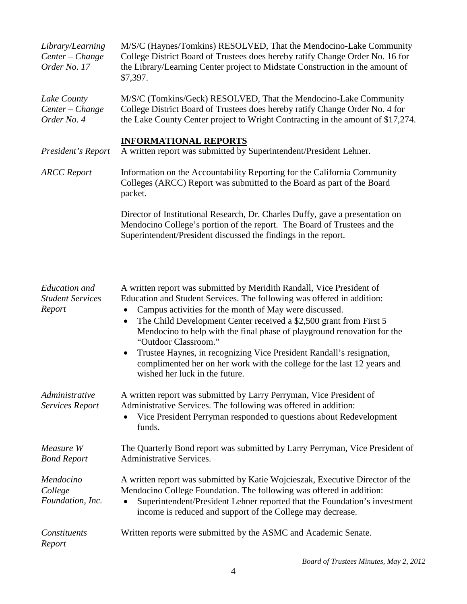| Library/Learning<br>Center - Change<br>Order No. 17       | M/S/C (Haynes/Tomkins) RESOLVED, That the Mendocino-Lake Community<br>College District Board of Trustees does hereby ratify Change Order No. 16 for<br>the Library/Learning Center project to Midstate Construction in the amount of<br>\$7,397.                                                                                                                                                                                                                                                                                                                                     |
|-----------------------------------------------------------|--------------------------------------------------------------------------------------------------------------------------------------------------------------------------------------------------------------------------------------------------------------------------------------------------------------------------------------------------------------------------------------------------------------------------------------------------------------------------------------------------------------------------------------------------------------------------------------|
| Lake County<br>Center - Change<br>Order No. 4             | M/S/C (Tomkins/Geck) RESOLVED, That the Mendocino-Lake Community<br>College District Board of Trustees does hereby ratify Change Order No. 4 for<br>the Lake County Center project to Wright Contracting in the amount of \$17,274.                                                                                                                                                                                                                                                                                                                                                  |
| President's Report                                        | <b>INFORMATIONAL REPORTS</b><br>A written report was submitted by Superintendent/President Lehner.                                                                                                                                                                                                                                                                                                                                                                                                                                                                                   |
| <b>ARCC</b> Report                                        | Information on the Accountability Reporting for the California Community<br>Colleges (ARCC) Report was submitted to the Board as part of the Board<br>packet.                                                                                                                                                                                                                                                                                                                                                                                                                        |
|                                                           | Director of Institutional Research, Dr. Charles Duffy, gave a presentation on<br>Mendocino College's portion of the report. The Board of Trustees and the<br>Superintendent/President discussed the findings in the report.                                                                                                                                                                                                                                                                                                                                                          |
| <b>Education</b> and<br><b>Student Services</b><br>Report | A written report was submitted by Meridith Randall, Vice President of<br>Education and Student Services. The following was offered in addition:<br>Campus activities for the month of May were discussed.<br>The Child Development Center received a \$2,500 grant from First 5<br>$\bullet$<br>Mendocino to help with the final phase of playground renovation for the<br>"Outdoor Classroom."<br>Trustee Haynes, in recognizing Vice President Randall's resignation,<br>complimented her on her work with the college for the last 12 years and<br>wished her luck in the future. |
| Administrative                                            | A written report was submitted by Larry Perryman, Vice President of                                                                                                                                                                                                                                                                                                                                                                                                                                                                                                                  |

*Services Report*

Administrative Services. The following was offered in addition: • Vice President Perryman responded to questions about Redevelopment funds.

*Measure W Bond Report* The Quarterly Bond report was submitted by Larry Perryman, Vice President of Administrative Services.

*Mendocino College Foundation, Inc.* 

A written report was submitted by Katie Wojcieszak, Executive Director of the Mendocino College Foundation. The following was offered in addition:

• Superintendent/President Lehner reported that the Foundation's investment income is reduced and support of the College may decrease.

*Constituents Report* Written reports were submitted by the ASMC and Academic Senate.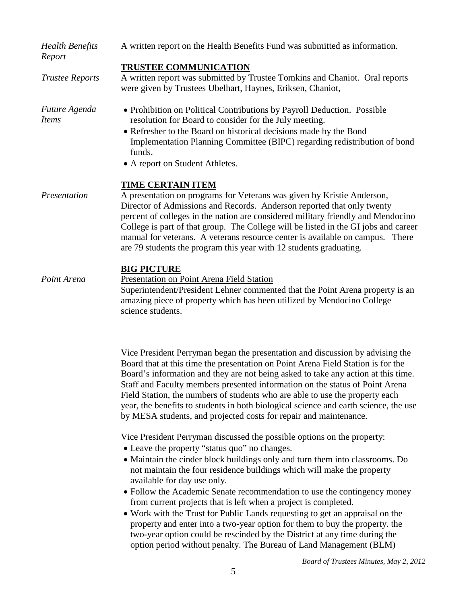| <b>Health Benefits</b><br>Report | A written report on the Health Benefits Fund was submitted as information.                                                                                                                                                                                                                                                                                                                                                                                                                                                                                                                                                                                                                                                                                                         |  |  |
|----------------------------------|------------------------------------------------------------------------------------------------------------------------------------------------------------------------------------------------------------------------------------------------------------------------------------------------------------------------------------------------------------------------------------------------------------------------------------------------------------------------------------------------------------------------------------------------------------------------------------------------------------------------------------------------------------------------------------------------------------------------------------------------------------------------------------|--|--|
| <b>Trustee Reports</b>           | TRUSTEE COMMUNICATION<br>A written report was submitted by Trustee Tomkins and Chaniot. Oral reports<br>were given by Trustees Ubelhart, Haynes, Eriksen, Chaniot,                                                                                                                                                                                                                                                                                                                                                                                                                                                                                                                                                                                                                 |  |  |
| Future Agenda<br><i>Items</i>    | • Prohibition on Political Contributions by Payroll Deduction. Possible<br>resolution for Board to consider for the July meeting.<br>• Refresher to the Board on historical decisions made by the Bond<br>Implementation Planning Committee (BIPC) regarding redistribution of bond<br>funds.<br>• A report on Student Athletes.                                                                                                                                                                                                                                                                                                                                                                                                                                                   |  |  |
| Presentation                     | <b>TIME CERTAIN ITEM</b><br>A presentation on programs for Veterans was given by Kristie Anderson,<br>Director of Admissions and Records. Anderson reported that only twenty<br>percent of colleges in the nation are considered military friendly and Mendocino<br>College is part of that group. The College will be listed in the GI jobs and career<br>manual for veterans. A veterans resource center is available on campus. There<br>are 79 students the program this year with 12 students graduating.                                                                                                                                                                                                                                                                     |  |  |
| Point Arena                      | <b>BIG PICTURE</b><br>Presentation on Point Arena Field Station<br>Superintendent/President Lehner commented that the Point Arena property is an<br>amazing piece of property which has been utilized by Mendocino College<br>science students.                                                                                                                                                                                                                                                                                                                                                                                                                                                                                                                                    |  |  |
|                                  | Vice President Perryman began the presentation and discussion by advising the<br>Board that at this time the presentation on Point Arena Field Station is for the<br>Board's information and they are not being asked to take any action at this time.<br>Staff and Faculty members presented information on the status of Point Arena<br>Field Station, the numbers of students who are able to use the property each<br>year, the benefits to students in both biological science and earth science, the use<br>by MESA students, and projected costs for repair and maintenance.                                                                                                                                                                                                |  |  |
|                                  | Vice President Perryman discussed the possible options on the property:<br>• Leave the property "status quo" no changes.<br>• Maintain the cinder block buildings only and turn them into classrooms. Do<br>not maintain the four residence buildings which will make the property<br>available for day use only.<br>• Follow the Academic Senate recommendation to use the contingency money<br>from current projects that is left when a project is completed.<br>• Work with the Trust for Public Lands requesting to get an appraisal on the<br>property and enter into a two-year option for them to buy the property. the<br>two-year option could be rescinded by the District at any time during the<br>option period without penalty. The Bureau of Land Management (BLM) |  |  |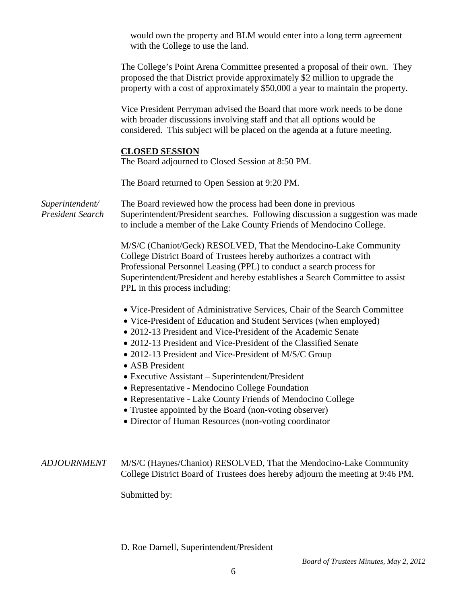|                                            | would own the property and BLM would enter into a long term agreement<br>with the College to use the land.                                                                                                                                                                                                                                                                                                                                                                                                                                                                                                                                              |
|--------------------------------------------|---------------------------------------------------------------------------------------------------------------------------------------------------------------------------------------------------------------------------------------------------------------------------------------------------------------------------------------------------------------------------------------------------------------------------------------------------------------------------------------------------------------------------------------------------------------------------------------------------------------------------------------------------------|
|                                            | The College's Point Arena Committee presented a proposal of their own. They<br>proposed the that District provide approximately \$2 million to upgrade the<br>property with a cost of approximately \$50,000 a year to maintain the property.                                                                                                                                                                                                                                                                                                                                                                                                           |
|                                            | Vice President Perryman advised the Board that more work needs to be done<br>with broader discussions involving staff and that all options would be<br>considered. This subject will be placed on the agenda at a future meeting.                                                                                                                                                                                                                                                                                                                                                                                                                       |
|                                            | <b>CLOSED SESSION</b><br>The Board adjourned to Closed Session at 8:50 PM.                                                                                                                                                                                                                                                                                                                                                                                                                                                                                                                                                                              |
|                                            | The Board returned to Open Session at 9:20 PM.                                                                                                                                                                                                                                                                                                                                                                                                                                                                                                                                                                                                          |
| Superintendent/<br><b>President Search</b> | The Board reviewed how the process had been done in previous<br>Superintendent/President searches. Following discussion a suggestion was made<br>to include a member of the Lake County Friends of Mendocino College.                                                                                                                                                                                                                                                                                                                                                                                                                                   |
|                                            | M/S/C (Chaniot/Geck) RESOLVED, That the Mendocino-Lake Community<br>College District Board of Trustees hereby authorizes a contract with<br>Professional Personnel Leasing (PPL) to conduct a search process for<br>Superintendent/President and hereby establishes a Search Committee to assist<br>PPL in this process including:                                                                                                                                                                                                                                                                                                                      |
|                                            | • Vice-President of Administrative Services, Chair of the Search Committee<br>• Vice-President of Education and Student Services (when employed)<br>• 2012-13 President and Vice-President of the Academic Senate<br>• 2012-13 President and Vice-President of the Classified Senate<br>• 2012-13 President and Vice-President of M/S/C Group<br>ASB President<br>• Executive Assistant – Superintendent/President<br>• Representative - Mendocino College Foundation<br>• Representative - Lake County Friends of Mendocino College<br>• Trustee appointed by the Board (non-voting observer)<br>• Director of Human Resources (non-voting coordinator |
| <b>ADJOURNMENT</b>                         | M/S/C (Haynes/Chaniot) RESOLVED, That the Mendocino-Lake Community<br>College District Board of Trustees does hereby adjourn the meeting at 9:46 PM.<br>Submitted by:                                                                                                                                                                                                                                                                                                                                                                                                                                                                                   |

D. Roe Darnell, Superintendent/President